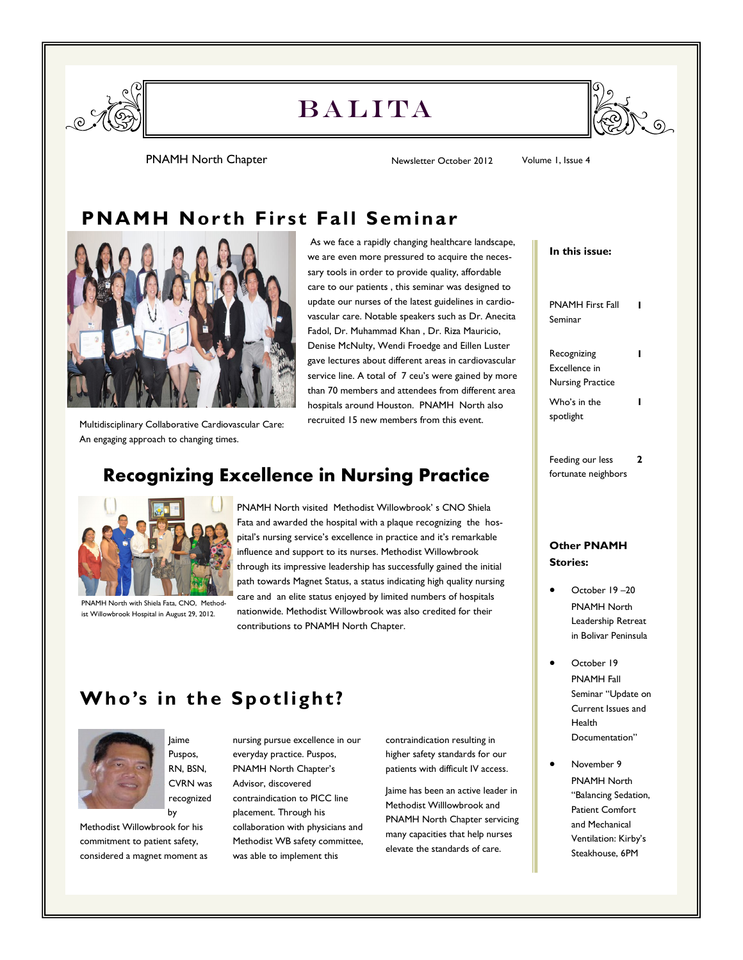

# **BALITA**



PNAMH North Chapter **Newsletter October 2012** Volume 1, Issue 4

### **PNAMH Nor th First Fall Seminar**



As we face a rapidly changing healthcare landscape, we are even more pressured to acquire the necessary tools in order to provide quality, affordable care to our patients , this seminar was designed to update our nurses of the latest guidelines in cardiovascular care. Notable speakers such as Dr. Anecita Fadol, Dr. Muhammad Khan , Dr. Riza Mauricio, Denise McNulty, Wendi Froedge and Eillen Luster gave lectures about different areas in cardiovascular service line. A total of 7 ceu's were gained by more than 70 members and attendees from different area hospitals around Houston. PNAMH North also recruited 15 new members from this event.

Multidisciplinary Collaborative Cardiovascular Care: An engaging approach to changing times.

## **Recognizing Excellence in Nursing Practice**



PNAMH North with Shiela Fata, CNO, Methodist Willowbrook Hospital in August 29, 2012.

PNAMH North visited Methodist Willowbrook' s CNO Shiela Fata and awarded the hospital with a plaque recognizing the hospital's nursing service's excellence in practice and it's remarkable influence and support to its nurses. Methodist Willowbrook through its impressive leadership has successfully gained the initial path towards Magnet Status, a status indicating high quality nursing care and an elite status enjoyed by limited numbers of hospitals nationwide. Methodist Willowbrook was also credited for their contributions to PNAMH North Chapter.

# **Who's in the Spotlight?**



Jaime Puspos, RN, BSN, CVRN was recognized by

Methodist Willowbrook for his commitment to patient safety, considered a magnet moment as nursing pursue excellence in our everyday practice. Puspos, PNAMH North Chapter's Advisor, discovered contraindication to PICC line placement. Through his collaboration with physicians and Methodist WB safety committee, was able to implement this

contraindication resulting in higher safety standards for our patients with difficult IV access.

Jaime has been an active leader in Methodist Willlowbrook and PNAMH North Chapter servicing many capacities that help nurses elevate the standards of care.

| In this issue:                                          |   |
|---------------------------------------------------------|---|
| <b>PNAMH First Fall</b><br>Seminar                      |   |
| Recognizing<br>Excellence in<br><b>Nursing Practice</b> |   |
| Who's in the<br>spotlight                               |   |
| Feeding our less<br>fortunate neighbors                 | 7 |

### **Other PNAMH Stories:**

- October 19 –20 PNAMH North Leadership Retreat in Bolivar Peninsula
- October 19 PNAMH Fall Seminar "Update on Current Issues and Health Documentation"
- November 9 PNAMH North "Balancing Sedation, Patient Comfort and Mechanical Ventilation: Kirby's Steakhouse, 6PM